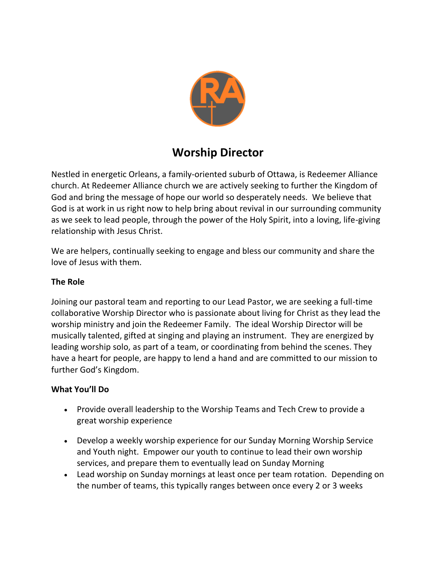

# **Worship Director**

Nestled in energetic Orleans, a family-oriented suburb of Ottawa, is Redeemer Alliance church. At Redeemer Alliance church we are actively seeking to further the Kingdom of God and bring the message of hope our world so desperately needs. We believe that God is at work in us right now to help bring about revival in our surrounding community as we seek to lead people, through the power of the Holy Spirit, into a loving, life-giving relationship with Jesus Christ.

We are helpers, continually seeking to engage and bless our community and share the love of Jesus with them.

## **The Role**

Joining our pastoral team and reporting to our Lead Pastor, we are seeking a full-time collaborative Worship Director who is passionate about living for Christ as they lead the worship ministry and join the Redeemer Family. The ideal Worship Director will be musically talented, gifted at singing and playing an instrument. They are energized by leading worship solo, as part of a team, or coordinating from behind the scenes. They have a heart for people, are happy to lend a hand and are committed to our mission to further God's Kingdom.

#### **What You'll Do**

- Provide overall leadership to the Worship Teams and Tech Crew to provide a great worship experience
- Develop a weekly worship experience for our Sunday Morning Worship Service and Youth night. Empower our youth to continue to lead their own worship services, and prepare them to eventually lead on Sunday Morning
- Lead worship on Sunday mornings at least once per team rotation. Depending on the number of teams, this typically ranges between once every 2 or 3 weeks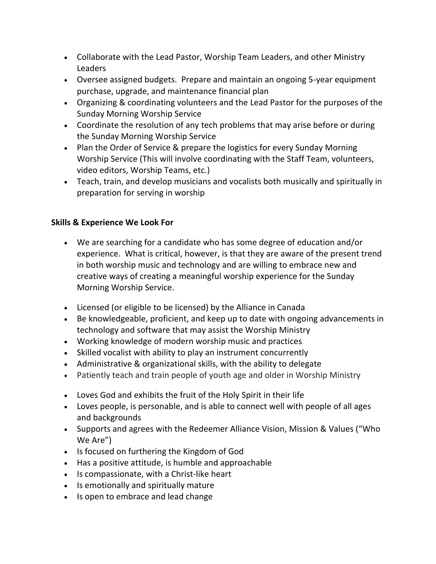- Collaborate with the Lead Pastor, Worship Team Leaders, and other Ministry Leaders
- Oversee assigned budgets. Prepare and maintain an ongoing 5-year equipment purchase, upgrade, and maintenance financial plan
- Organizing & coordinating volunteers and the Lead Pastor for the purposes of the Sunday Morning Worship Service
- Coordinate the resolution of any tech problems that may arise before or during the Sunday Morning Worship Service
- Plan the Order of Service & prepare the logistics for every Sunday Morning Worship Service (This will involve coordinating with the Staff Team, volunteers, video editors, Worship Teams, etc.)
- Teach, train, and develop musicians and vocalists both musically and spiritually in preparation for serving in worship

# **Skills & Experience We Look For**

- We are searching for a candidate who has some degree of education and/or experience. What is critical, however, is that they are aware of the present trend in both worship music and technology and are willing to embrace new and creative ways of creating a meaningful worship experience for the Sunday Morning Worship Service.
- Licensed (or eligible to be licensed) by the Alliance in Canada
- Be knowledgeable, proficient, and keep up to date with ongoing advancements in technology and software that may assist the Worship Ministry
- Working knowledge of modern worship music and practices
- Skilled vocalist with ability to play an instrument concurrently
- Administrative & organizational skills, with the ability to delegate
- Patiently teach and train people of youth age and older in Worship Ministry
- Loves God and exhibits the fruit of the Holy Spirit in their life
- Loves people, is personable, and is able to connect well with people of all ages and backgrounds
- Supports and agrees with the Redeemer Alliance Vision, Mission & Values ("Who We Are")
- Is focused on furthering the Kingdom of God
- Has a positive attitude, is humble and approachable
- Is compassionate, with a Christ-like heart
- Is emotionally and spiritually mature
- Is open to embrace and lead change